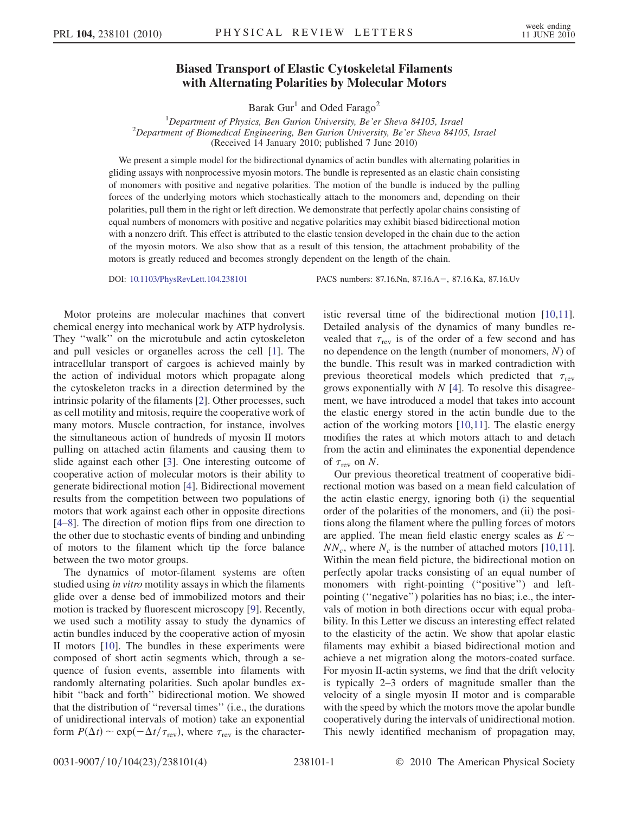## Biased Transport of Elastic Cytoskeletal Filaments with Alternating Polarities by Molecular Motors

Barak Gur<sup>1</sup> and Oded Farago<sup>2</sup>

<sup>1</sup>Department of Physics, Ben Gurion University, Be'er Sheva 84105, Israel<br><sup>2</sup>Department of Biomedical Engineering, Ben Gurion University, Be'er Sheva 8410  $^{2}$ Department of Biomedical Engineering, Ben Gurion University, Be'er Sheva 84105, Israel (Received 14 January 2010; published 7 June 2010)

We present a simple model for the bidirectional dynamics of actin bundles with alternating polarities in gliding assays with nonprocessive myosin motors. The bundle is represented as an elastic chain consisting of monomers with positive and negative polarities. The motion of the bundle is induced by the pulling forces of the underlying motors which stochastically attach to the monomers and, depending on their polarities, pull them in the right or left direction. We demonstrate that perfectly apolar chains consisting of equal numbers of monomers with positive and negative polarities may exhibit biased bidirectional motion with a nonzero drift. This effect is attributed to the elastic tension developed in the chain due to the action of the myosin motors. We also show that as a result of this tension, the attachment probability of the motors is greatly reduced and becomes strongly dependent on the length of the chain.

DOI: [10.1103/PhysRevLett.104.238101](http://dx.doi.org/10.1103/PhysRevLett.104.238101) PACS numbers: 87.16.Nn, 87.16.A, 87.16.Ka, 87.16.Uv

Motor proteins are molecular machines that convert chemical energy into mechanical work by ATP hydrolysis. They ''walk'' on the microtubule and actin cytoskeleton and pull vesicles or organelles across the cell [[1\]](#page-3-0). The intracellular transport of cargoes is achieved mainly by the action of individual motors which propagate along the cytoskeleton tracks in a direction determined by the intrinsic polarity of the filaments [\[2\]](#page-3-1). Other processes, such as cell motility and mitosis, require the cooperative work of many motors. Muscle contraction, for instance, involves the simultaneous action of hundreds of myosin II motors pulling on attached actin filaments and causing them to slide against each other [\[3\]](#page-3-2). One interesting outcome of cooperative action of molecular motors is their ability to generate bidirectional motion [[4\]](#page-3-3). Bidirectional movement results from the competition between two populations of motors that work against each other in opposite directions [\[4–](#page-3-3)[8](#page-3-4)]. The direction of motion flips from one direction to the other due to stochastic events of binding and unbinding of motors to the filament which tip the force balance between the two motor groups.

The dynamics of motor-filament systems are often studied using *in vitro* motility assays in which the filaments glide over a dense bed of immobilized motors and their motion is tracked by fluorescent microscopy [[9](#page-3-5)]. Recently, we used such a motility assay to study the dynamics of actin bundles induced by the cooperative action of myosin II motors [\[10\]](#page-3-6). The bundles in these experiments were composed of short actin segments which, through a sequence of fusion events, assemble into filaments with randomly alternating polarities. Such apolar bundles exhibit ''back and forth'' bidirectional motion. We showed that the distribution of ''reversal times'' (i.e., the durations of unidirectional intervals of motion) take an exponential form  $P(\Delta t) \sim \exp(-\Delta t/\tau_{\text{rev}})$ , where  $\tau_{\text{rev}}$  is the characteristic reversal time of the bidirectional motion [\[10,](#page-3-6)[11\]](#page-3-7). Detailed analysis of the dynamics of many bundles revealed that  $\tau_{\text{rev}}$  is of the order of a few second and has no dependence on the length (number of monomers, N) of the bundle. This result was in marked contradiction with previous theoretical models which predicted that  $\tau_{\text{rev}}$ grows exponentially with  $N$  [[4\]](#page-3-3). To resolve this disagreement, we have introduced a model that takes into account the elastic energy stored in the actin bundle due to the action of the working motors [[10](#page-3-6),[11](#page-3-7)]. The elastic energy modifies the rates at which motors attach to and detach from the actin and eliminates the exponential dependence of  $\tau_{\text{rev}}$  on N.

Our previous theoretical treatment of cooperative bidirectional motion was based on a mean field calculation of the actin elastic energy, ignoring both (i) the sequential order of the polarities of the monomers, and (ii) the positions along the filament where the pulling forces of motors are applied. The mean field elastic energy scales as  $E \sim$  $NN_c$ , where  $N_c$  is the number of attached motors [\[10,](#page-3-6)[11\]](#page-3-7). Within the mean field picture, the bidirectional motion on perfectly apolar tracks consisting of an equal number of monomers with right-pointing ("positive") and leftpointing (''negative'') polarities has no bias; i.e., the intervals of motion in both directions occur with equal probability. In this Letter we discuss an interesting effect related to the elasticity of the actin. We show that apolar elastic filaments may exhibit a biased bidirectional motion and achieve a net migration along the motors-coated surface. For myosin II-actin systems, we find that the drift velocity is typically 2–3 orders of magnitude smaller than the velocity of a single myosin II motor and is comparable with the speed by which the motors move the apolar bundle cooperatively during the intervals of unidirectional motion. This newly identified mechanism of propagation may,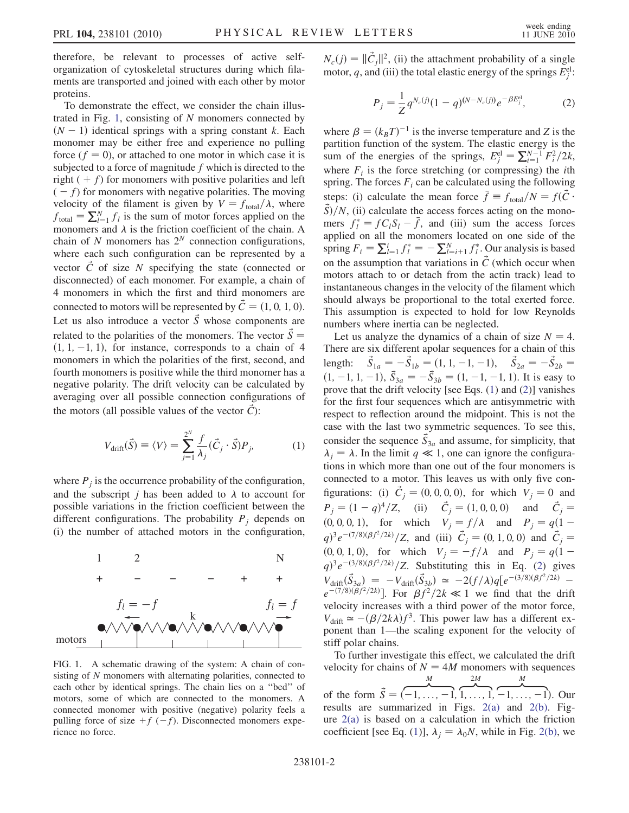therefore, be relevant to processes of active selforganization of cytoskeletal structures during which filaments are transported and joined with each other by motor proteins.

To demonstrate the effect, we consider the chain illus-trated in Fig. [1,](#page-1-0) consisting of  $N$  monomers connected by  $(N - 1)$  identical springs with a spring constant k. Each monomer may be either free and experience no pulling force  $(f = 0)$ , or attached to one motor in which case it is subjected to a force of magnitude  $f$  which is directed to the right  $( + f)$  for monomers with positive polarities and left  $(-f)$  for monomers with negative polarities. The moving velocity of the filament is given by  $V = f_{\text{total}}/\lambda$ , where  $f_{\text{total}} = \sum_{l=1}^{N} f_l$  is the sum of motor forces applied on the monomers and  $\lambda$  is the friction coefficient of the chain. A chain of N monomers has  $2^N$  connection configurations, where each such configuration can be represented by a vector  $\acute{C}$  of size N specifying the state (connected or disconnected) of each monomer. For example, a chain of 4 monomers in which the first and third monomers are connected to motors will be represented by  $\acute{C} = (1, 0, 1, 0)$ . Let us also introduce a vector  $\vec{S}$  whose components are related to the polarities of the monomers. The vector  $\vec{S} =$  $(1, 1, -1, 1)$ , for instance, corresponds to a chain of 4 monomers in which the polarities of the first, second, and fourth monomers is positive while the third monomer has a negative polarity. The drift velocity can be calculated by averaging over all possible connection configurations of the motors (all possible values of the vector  $\hat{C}$ ):

<span id="page-1-1"></span>
$$
V_{\text{drift}}(\vec{S}) \equiv \langle V \rangle = \sum_{j=1}^{2^N} \frac{f}{\lambda_j} (\vec{C}_j \cdot \vec{S}) P_j, \tag{1}
$$

where  $P_i$  is the occurrence probability of the configuration, and the subscript *j* has been added to  $\lambda$  to account for possible variations in the friction coefficient between the different configurations. The probability  $P_i$  depends on (i) the number of attached motors in the configuration,

<span id="page-1-0"></span>

FIG. 1. A schematic drawing of the system: A chain of consisting of N monomers with alternating polarities, connected to each other by identical springs. The chain lies on a ''bed'' of motors, some of which are connected to the monomers. A connected monomer with positive (negative) polarity feels a pulling force of size  $+f(-f)$ . Disconnected monomers experience no force.

<span id="page-1-2"></span> $N_c(j) = ||\vec{C}_j||^2$ , (ii) the attachment probability of a single motor, q, and (iii) the total elastic energy of the springs  $E_j^{\text{el}}$ .

$$
P_j = \frac{1}{Z} q^{N_c(j)} (1-q)^{(N-N_c(j))} e^{-\beta E_j^{\text{el}}}, \tag{2}
$$

where  $\beta = (k_B T)^{-1}$  is the inverse temperature and Z is the partition function of the system. The elastic energy is the sum of the energies of the springs,  $E_j^{\text{el}} = \sum_{i=1}^{N-1} F_i^2 / 2k$ , where  $F_i$  is the force stretching (or compressing) the *i*th spring. The forces  $F_i$  can be calculated using the following steps: (i) calculate the mean force  $\bar{f} = f_{\text{total}}/N = f(\vec{C} \cdot \vec{C})$  $\vec{S}/N$ , (ii) calculate the access forces acting on the monomers  $f_l^* = fC_lS_l - \bar{f}$ , and (iii) sum the access forces applied on all the monomers located on one side of the spring  $F_i = \sum_{l=1}^i f_l^* = -\sum_{l=i+1}^N f_l^*$ . Our analysis is based on the assumption that variations in  $\acute{C}$  (which occur when motors attach to or detach from the actin track) lead to instantaneous changes in the velocity of the filament which should always be proportional to the total exerted force. This assumption is expected to hold for low Reynolds numbers where inertia can be neglected.

Let us analyze the dynamics of a chain of size  $N = 4$ . There are six different apolar sequences for a chain of this length:  $\vec{S}_{1a} = -\vec{S}_{1b} = (1, 1, -1, -1), \quad \vec{S}_{2a} = -\vec{S}_{2b} =$  $(1, -1, 1, -1), \vec{S}_{3a} = -\vec{S}_{3b} = (1, -1, -1, 1)$ . It is easy to prove that the drift velocity [see Eqs. ([1\)](#page-1-1) and [\(2\)](#page-1-2)] vanishes for the first four sequences which are antisymmetric with respect to reflection around the midpoint. This is not the case with the last two symmetric sequences. To see this, consider the sequence  $\vec{S}_{3a}$  and assume, for simplicity, that  $\lambda_j = \lambda$ . In the limit  $q \ll 1$ , one can ignore the configurations in which more than one out of the four monomers is connected to a motor. This leaves us with only five configurations: (i)  $\vec{C}_j = (0, 0, 0, 0)$ , for which  $V_j = 0$  and  $P_j = (1 - q)^4 / Z$ , (ii)  $\vec{C}_j = (1, 0, 0, 0)$  and  $\vec{C}_j =$ (0, 0, 0, 1), for which  $V_j = f/\lambda$  and  $P_j = q(1$  $q^{3}e^{-(7/8)(\beta f^{2}/2k)}/Z$ , and (iii)  $\vec{C}_{j} = (0, 1, 0, 0)$  and  $\vec{C}_{j} = (0, 1, 0, 0)$  $(0, 0, 1, 0)$ , for which  $V_j = -f/\lambda$  and  $P_j = q(1 q^{\frac{3}{2}}e^{-\frac{3}{8}\left(\frac{8}{f^2}\right)/2k}$  $q^{\frac{3}{2}}e^{-\frac{3}{8}\left(\frac{8}{f^2}\right)/2k}$  $q^{\frac{3}{2}}e^{-\frac{3}{8}\left(\frac{8}{f^2}\right)/2k}$  /Z. Substituting this in Eq. (2) gives  $V_{\text{drift}}(\vec{\hat{S}}_{3a}) = -V_{\text{drift}}(\vec{\hat{S}}_{3b}) \simeq -2(f/\lambda)q[e^{-(3/8)(\beta f^2/2k)}$  $e^{-(7/8)(\beta f^2/2k)}$ . For  $\beta f^2/2k \ll 1$  we find that the drift velocity increases with a third power of the motor force,  $V_{\text{drift}} \simeq -(\beta/2k\lambda)f^3$ . This power law has a different exponent than 1—the scaling exponent for the velocity of stiff polar chains.

To further investigate this effect, we calculated the drift velocity for chains of  $N = 4M$  monomers with sequences  $\frac{M}{\sqrt{2}}$  $2M$ M

of the form  $\vec{S} = (-1, \ldots, -1, 1, \ldots, 1, -1, \ldots, -1)$ . Our results are summarized in Figs. [2\(a\)](#page-2-0) and [2\(b\)](#page-2-0). Figure [2\(a\)](#page-2-0) is based on a calculation in which the friction coefficient [see Eq. [\(1\)](#page-1-1)],  $\lambda_j = \lambda_0 N$ , while in Fig. [2\(b\)](#page-2-0), we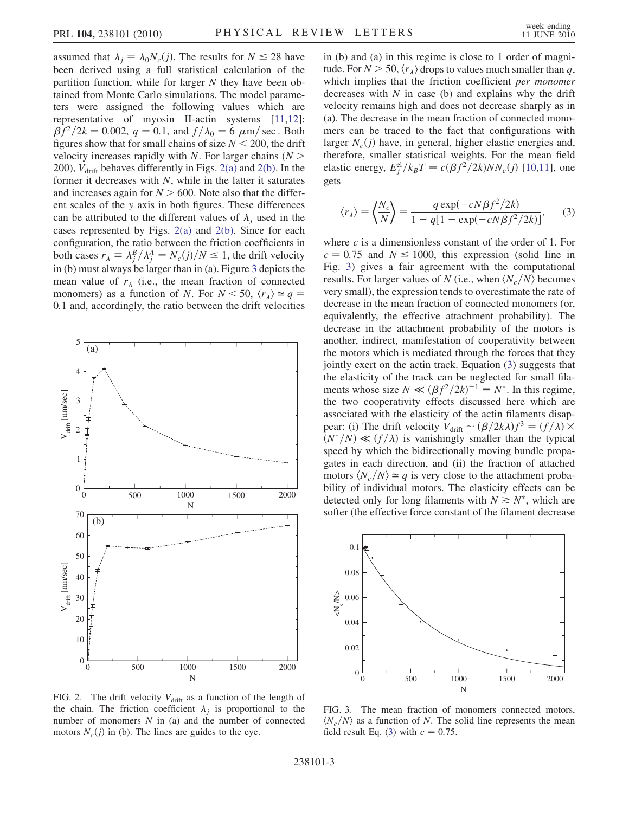assumed that  $\lambda_j = \lambda_0 N_c(j)$ . The results for  $N \le 28$  have been derived using a full statistical calculation of the partition function, while for larger  $N$  they have been obtained from Monte Carlo simulations. The model parameters were assigned the following values which are representative of myosin II-actin systems [\[11,](#page-3-7)[12\]](#page-3-8):  $\beta f^2/2k = 0.002$ ,  $q = 0.1$ , and  $f/\lambda_0 = 6 \mu \text{m/sec}$ . Both figures show that for small chains of size  $N < 200$ , the drift velocity increases rapidly with N. For larger chains  $(N \geq$ 200),  $V_{\text{drift}}$  behaves differently in Figs. [2\(a\)](#page-2-0) and [2\(b\)](#page-2-0). In the former it decreases with  $N$ , while in the latter it saturates and increases again for  $N > 600$ . Note also that the different scales of the y axis in both figures. These differences can be attributed to the different values of  $\lambda_j$  used in the cases represented by Figs. [2\(a\)](#page-2-0) and [2\(b\)](#page-2-0). Since for each configuration, the ratio between the friction coefficients in both cases  $r_{\lambda} \equiv \lambda_j^B / \lambda_j^A = N_c(j) / N \le 1$ , the drift velocity in (b) must always be larger than in (a). Figure [3](#page-2-1) depicts the mean value of  $r_{\lambda}$  (i.e., the mean fraction of connected monomers) as a function of N. For  $N < 50$ ,  $\langle r_{\lambda} \rangle \simeq q =$ 0:1 and, accordingly, the ratio between the drift velocities



<span id="page-2-0"></span>FIG. 2. The drift velocity  $V_{\text{drift}}$  as a function of the length of the chain. The friction coefficient  $\lambda_j$  is proportional to the number of monomers  $N$  in (a) and the number of connected motors  $N_c(j)$  in (b). The lines are guides to the eye.

in (b) and (a) in this regime is close to 1 order of magnitude. For  $N > 50$ ,  $\langle r_{\lambda} \rangle$  drops to values much smaller than q, which implies that the friction coefficient *per monomer* decreases with  $N$  in case (b) and explains why the drift velocity remains high and does not decrease sharply as in (a). The decrease in the mean fraction of connected monomers can be traced to the fact that configurations with larger  $N_c(i)$  have, in general, higher elastic energies and, therefore, smaller statistical weights. For the mean field elastic energy,  $E_j^{\text{el}}/k_B T = c(\beta f^2/2k)NN_c(j)$  [[10](#page-3-6),[11](#page-3-7)], one gets

<span id="page-2-2"></span>
$$
\langle r_{\lambda} \rangle = \left\langle \frac{N_c}{N} \right\rangle = \frac{q \exp(-cN\beta f^2/2k)}{1 - q[1 - \exp(-cN\beta f^2/2k)]},\tag{3}
$$

where  $c$  is a dimensionless constant of the order of 1. For  $c = 0.75$  and  $N \le 1000$ , this expression (solid line in Fig. [3](#page-2-1)) gives a fair agreement with the computational results. For larger values of N (i.e., when  $\langle N_c/N \rangle$  becomes very small), the expression tends to overestimate the rate of decrease in the mean fraction of connected monomers (or, equivalently, the effective attachment probability). The decrease in the attachment probability of the motors is another, indirect, manifestation of cooperativity between the motors which is mediated through the forces that they jointly exert on the actin track. Equation ([3](#page-2-2)) suggests that the elasticity of the track can be neglected for small filaments whose size  $N \ll (\beta f^2/2k)^{-1} \equiv N^*$ . In this regime, the two cooperativity effects discussed here which are associated with the elasticity of the actin filaments disappear: (i) The drift velocity  $V_{\text{drift}} \sim (\beta/2k\lambda)f^3 = (f/\lambda) \times$  $(N^*/N) \ll (f/\lambda)$  is vanishingly smaller than the typical speed by which the bidirectionally moving bundle propagates in each direction, and (ii) the fraction of attached motors  $\langle N_c/N \rangle \simeq q$  is very close to the attachment probability of individual motors. The elasticity effects can be detected only for long filaments with  $N \ge N^*$ , which are softer (the effective force constant of the filament decrease

<span id="page-2-1"></span>

FIG. 3. The mean fraction of monomers connected motors,  $\langle N_c/N \rangle$  as a function of N. The solid line represents the mean field result Eq. [\(3\)](#page-2-2) with  $c = 0.75$ .